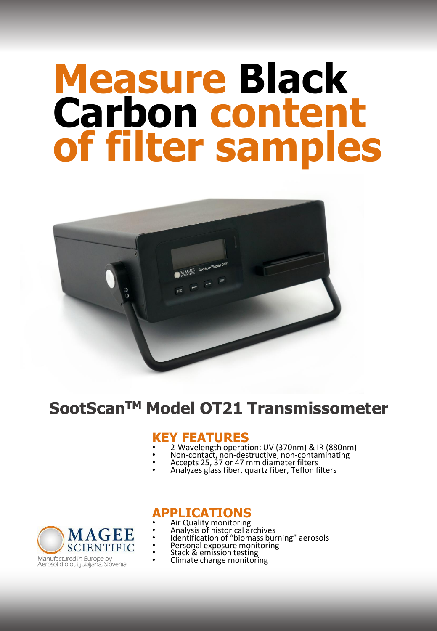# **Measure Black Carbon content of filter samples**



# **SootScanTM Model OT21 Transmissometer**

### **KEY FEATURES**

- 2-Wavelength operation: UV (370nm) & IR (880nm)
- Non-contact, non-destructive, non-contaminating
- Accepts 25, 37 or 47 mm diameter filters
- Analyzes glass fiber, quartz fiber, Teflon filters



## **APPLICATIONS**

- Air Quality monitoring
- Analysis of historical archives
- Identification of "biomass burning" aerosols
- Personal exposure monitoring
- Stack & emission testing • Climate change monitoring
-